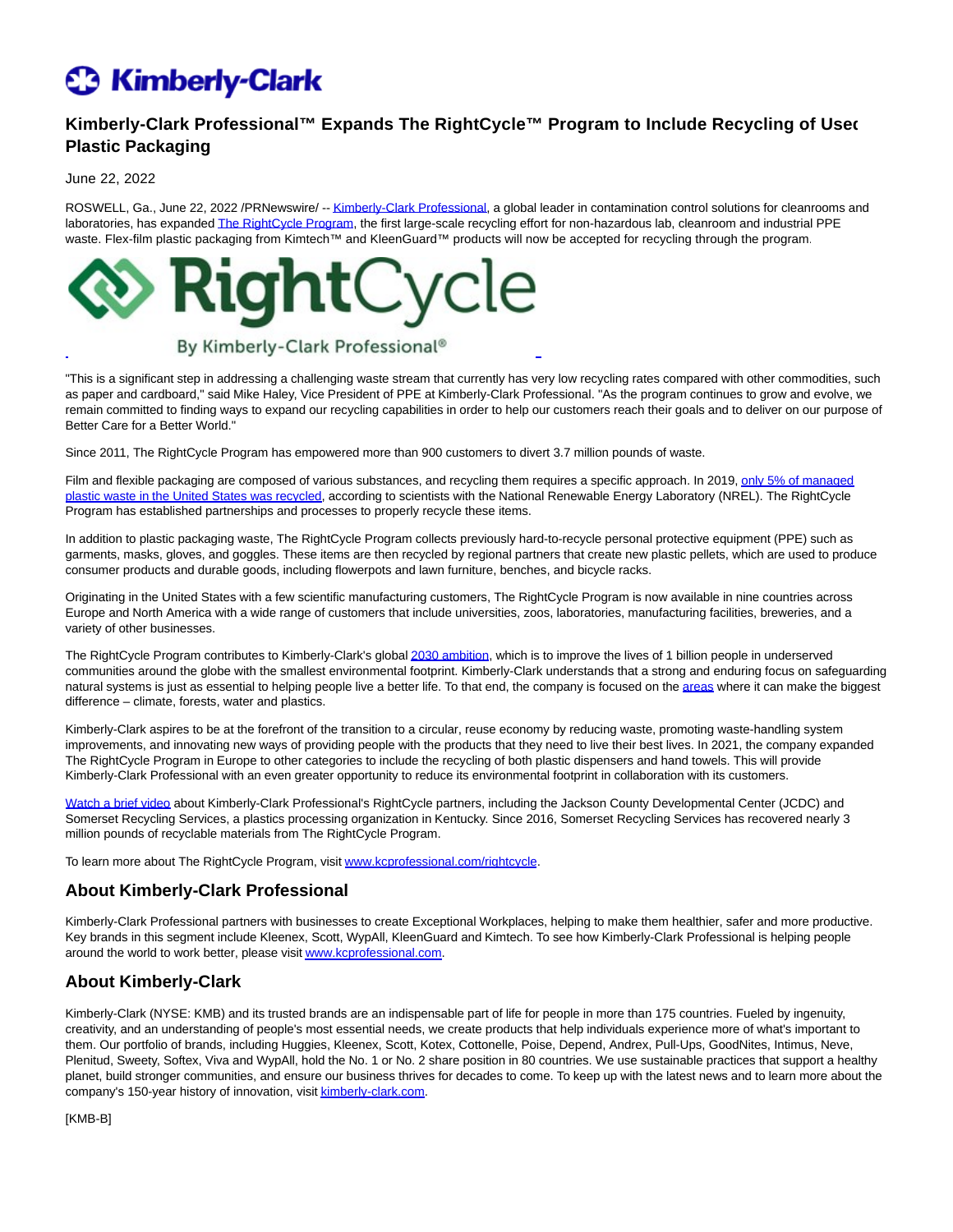# **C3 Kimberly-Clark**

# **Kimberly-Clark Professional™ Expands The RightCycle™ Program to Include Recycling of Used Plastic Packaging**

#### June 22, 2022

ROSWELL, Ga., June 22, 2022 /PRNewswire/ -[- Kimberly-Clark Professional,](https://c212.net/c/link/?t=0&l=en&o=3571301-1&h=3405777777&u=https%3A%2F%2Fwww.kcprofessional.com%2Fen-us&a=Kimberly-Clark+Professional) a global leader in contamination control solutions for cleanrooms and laboratories, has expande[d The RightCycle Program,](https://c212.net/c/link/?t=0&l=en&o=3571301-1&h=2365666570&u=http%3A%2F%2Fwww.kcprofessional.com%2Frightcycle&a=The+RightCycle+Program) the first large-scale recycling effort for non-hazardous lab, cleanroom and industrial PPE waste. Flex-film plastic packaging from Kimtech™ and KleenGuard™ products will now be accepted for recycling through the program.



## By Kimberly-Clark Professional®

"This is a significant step in addressing a challenging waste stream that currently has very low recycling rates compared with other commodities, such as paper and cardboard," said Mike Haley, Vice President of PPE at Kimberly-Clark Professional. "As the program continues to grow and evolve, we remain committed to finding ways to expand our recycling capabilities in order to help our customers reach their goals and to deliver on our purpose of Better Care for a Better World."

 $\overline{a}$ 

Since 2011, The RightCycle Program has empowered more than 900 customers to divert 3.7 million pounds of waste.

Film and flexibl[e packaging are composed of various substances, and recycling them requires a specific approach. In 2019, only 5% of managed](https://c212.net/c/link/?t=0&l=en&o=3571301-1&h=3455806760&u=https%3A%2F%2Fwww.sciencedirect.com%2Fscience%2Farticle%2Fabs%2Fpii%2FS0921344922002087&a=only+5%25+of+managed+plastic+waste+in+the+United+States+was+recycled) plastic waste in the United States was recycled, according to scientists with the National Renewable Energy Laboratory (NREL). The RightCycle Program has established partnerships and processes to properly recycle these items.

In addition to plastic packaging waste, The RightCycle Program collects previously hard-to-recycle personal protective equipment (PPE) such as garments, masks, gloves, and goggles. These items are then recycled by regional partners that create new plastic pellets, which are used to produce consumer products and durable goods, including flowerpots and lawn furniture, benches, and bicycle racks.

Originating in the United States with a few scientific manufacturing customers, The RightCycle Program is now available in nine countries across Europe and North America with a wide range of customers that include universities, zoos, laboratories, manufacturing facilities, breweries, and a variety of other businesses.

The RightCycle Program contributes to Kimberly-Clark's globa[l 2030 ambition,](https://c212.net/c/link/?t=0&l=en&o=3571301-1&h=186460233&u=https%3A%2F%2Fwww.kimberly-clark.com%2Fen-us%2Fesg%2F2030-ambition&a=2030+ambition) which is to improve the lives of 1 billion people in underserved communities around the globe with the smallest environmental footprint. Kimberly-Clark understands that a strong and enduring focus on safeguarding natural systems is just as essential to helping people live a better life. To that end, the company is focused on the [areas w](https://c212.net/c/link/?t=0&l=en&o=3571301-1&h=3144611266&u=https%3A%2F%2Fwww.kimberly-clark.com%2Fen-us%2Fesg%2Fsmallest-footprint&a=areas)here it can make the biggest difference – climate, forests, water and plastics.

Kimberly-Clark aspires to be at the forefront of the transition to a circular, reuse economy by reducing waste, promoting waste-handling system improvements, and innovating new ways of providing people with the products that they need to live their best lives. In 2021, the company expanded The RightCycle Program in Europe to other categories to include the recycling of both plastic dispensers and hand towels. This will provide Kimberly-Clark Professional with an even greater opportunity to reduce its environmental footprint in collaboration with its customers.

[Watch a brief video a](https://c212.net/c/link/?t=0&l=en&o=3571301-1&h=4141424196&u=https%3A%2F%2Fwww.youtube.com%2Fwatch%3Fv%3DCKErnDwoG0I&a=Watch+a+brief+video)bout Kimberly-Clark Professional's RightCycle partners, including the Jackson County Developmental Center (JCDC) and Somerset Recycling Services, a plastics processing organization in Kentucky. Since 2016, Somerset Recycling Services has recovered nearly 3 million pounds of recyclable materials from The RightCycle Program.

To learn more about The RightCycle Program, visit [www.kcprofessional.com/rightcycle.](https://c212.net/c/link/?t=0&l=en&o=3571301-1&h=1022384469&u=http%3A%2F%2Fwww.kcprofessional.com%2Frightcycle&a=www.kcprofessional.com%2Frightcycle)

### **About Kimberly-Clark Professional**

Kimberly-Clark Professional partners with businesses to create Exceptional Workplaces, helping to make them healthier, safer and more productive. Key brands in this segment include Kleenex, Scott, WypAll, KleenGuard and Kimtech. To see how Kimberly-Clark Professional is helping people around the world to work better, please visi[t www.kcprofessional.com.](https://c212.net/c/link/?t=0&l=en&o=3571301-1&h=2129408842&u=http%3A%2F%2Fwww.kcprofessional.com%2F&a=www.kcprofessional.com)

### **About Kimberly-Clark**

Kimberly-Clark (NYSE: KMB) and its trusted brands are an indispensable part of life for people in more than 175 countries. Fueled by ingenuity, creativity, and an understanding of people's most essential needs, we create products that help individuals experience more of what's important to them. Our portfolio of brands, including Huggies, Kleenex, Scott, Kotex, Cottonelle, Poise, Depend, Andrex, Pull-Ups, GoodNites, Intimus, Neve, Plenitud, Sweety, Softex, Viva and WypAll, hold the No. 1 or No. 2 share position in 80 countries. We use sustainable practices that support a healthy planet, build stronger communities, and ensure our business thrives for decades to come. To keep up with the latest news and to learn more about the company's 150-year history of innovation, visi[t kimberly-clark.com.](https://c212.net/c/link/?t=0&l=en&o=3571301-1&h=3735193885&u=https%3A%2F%2Fwww.kimberly-clark.com&a=kimberly-clark.com)

[KMB-B]